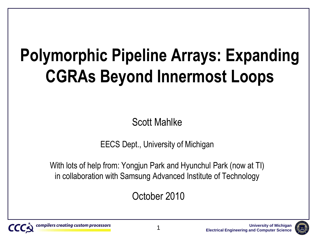#### **Polymorphic Pipeline Arrays: Expanding CGRAs Beyond Innermost Loops**

Scott Mahlke

EECS Dept., University of Michigan

With lots of help from: Yongjun Park and Hyunchul Park (now at TI) in collaboration with Samsung Advanced Institute of Technology

October 2010



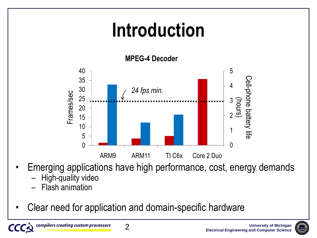#### **Introduction**

**MPEG-4 Decoder**



- Emerging applications have high performance, cost, energy demands
	- High-quality video
	- Flash animation
- Clear need for application and domain-specific hardware

2



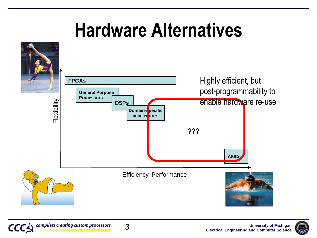#### **Hardware Alternatives**



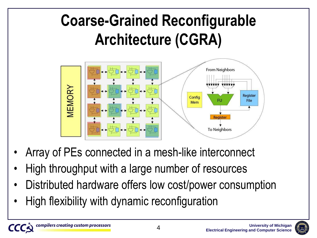#### **Coarse-Grained Reconfigurable Architecture (CGRA)**



- Array of PEs connected in a mesh-like interconnect
- High throughput with a large number of resources
- Distributed hardware offers low cost/power consumption
- High flexibility with dynamic reconfiguration

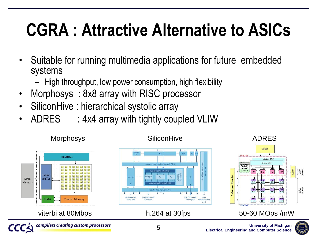#### **CGRA : Attractive Alternative to ASICs**

- Suitable for running multimedia applications for future embedded systems
	- High throughput, low power consumption, high flexibility
- Morphosys : 8x8 array with RISC processor
- SiliconHive : hierarchical systolic array
- ADRES : 4x4 array with tightly coupled VLIW



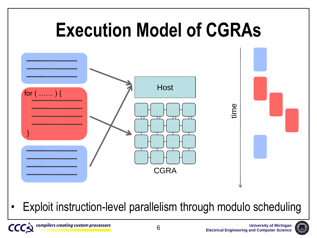

• Exploit instruction-level parallelism through modulo scheduling



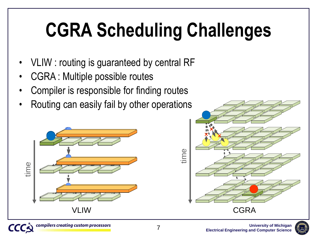### **CGRA Scheduling Challenges**

- VLIW : routing is guaranteed by central RF
- CGRA : Multiple possible routes
- Compiler is responsible for finding routes
- Routing can easily fail by other operations





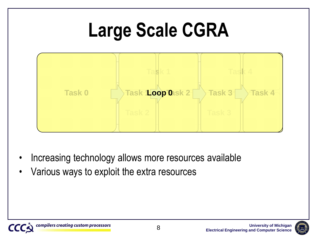#### **Large Scale CGRA**



- Increasing technology allows more resources available
- Various ways to exploit the extra resources



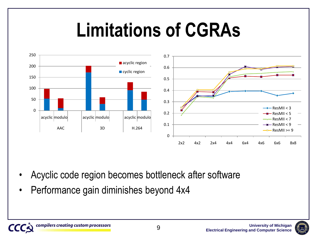#### **Limitations of CGRAs**



- Acyclic code region becomes bottleneck after software
- Performance gain diminishes beyond 4x4

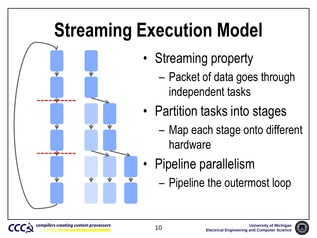### **Streaming Execution Model**



- Streaming property
	- Packet of data goes through independent tasks
- Partition tasks into stages
	- Map each stage onto different hardware
- Pipeline parallelism
	- Pipeline the outermost loop

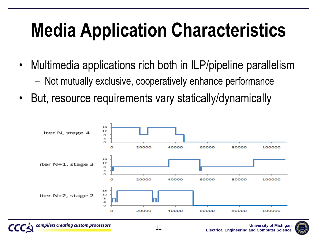### **Media Application Characteristics**

- Multimedia applications rich both in ILP/pipeline parallelism
	- Not mutually exclusive, cooperatively enhance performance
- But, resource requirements vary statically/dynamically



11



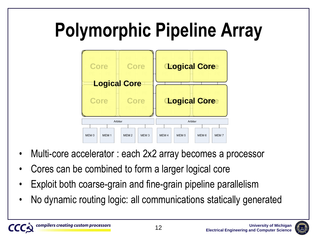# **Polymorphic Pipeline Array**



- Multi-core accelerator : each 2x2 array becomes a processor
- Cores can be combined to form a larger logical core
- Exploit both coarse-grain and fine-grain pipeline parallelism
- No dynamic routing logic: all communications statically generated

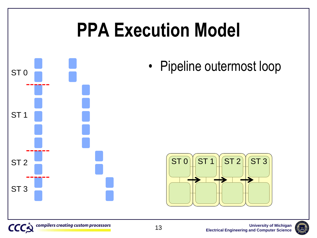

**CCC** 

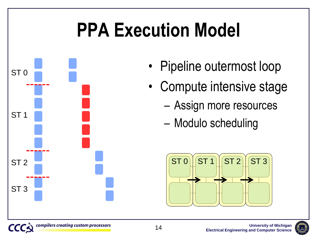#### **PPA Execution Model**



- Pipeline outermost loop
- Compute intensive stage
	- Assign more resources
	- Modulo scheduling



**University of Michigan**

**Electrical Engineering and Computer Science**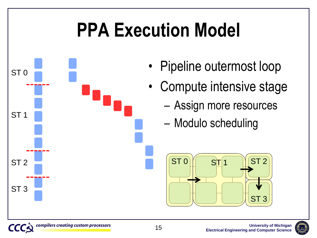#### **PPA Execution Model**



- Pipeline outermost loop
- Compute intensive stage
	- Assign more resources
	- Modulo scheduling

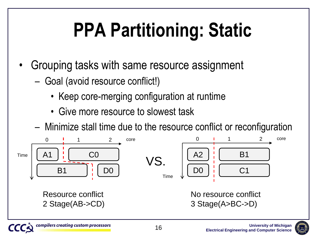# **PPA Partitioning: Static**

- Grouping tasks with same resource assignment
	- Goal (avoid resource conflict!)
		- Keep core-merging configuration at runtime
		- Give more resource to slowest task
	- Minimize stall time due to the resource conflict or reconfiguration



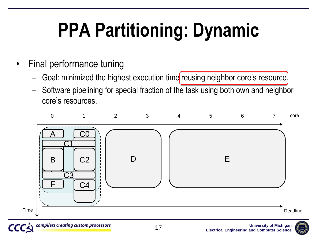### **PPA Partitioning: Dynamic**

- Final performance tuning
	- Goal: minimized the highest execution time reusing neighbor core's resource.
	- Software pipelining for special fraction of the task using both own and neighbor core's resources.



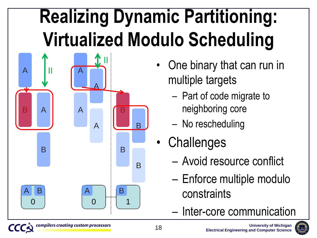### **Realizing Dynamic Partitioning: Virtualized Modulo Scheduling**



- One binary that can run in multiple targets
	- Part of code migrate to neighboring core
	- No rescheduling
- Challenges
	- Avoid resource conflict
	- Enforce multiple modulo constraints
	- Inter-core communication

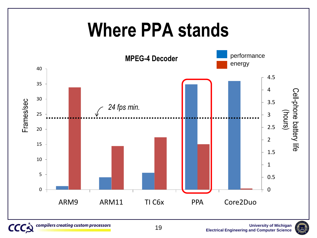#### **Where PPA stands**